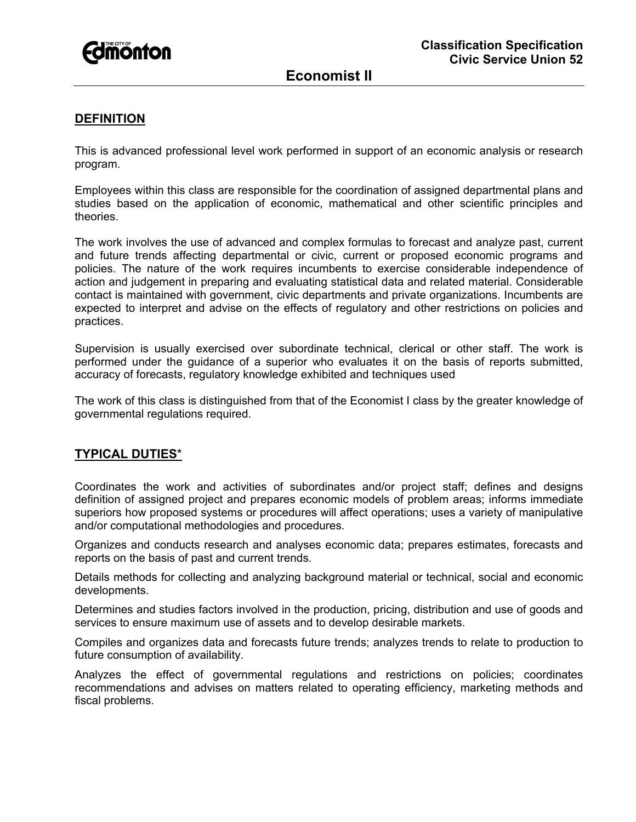

# **Economist II**

## **DEFINITION**

This is advanced professional level work performed in support of an economic analysis or research program.

Employees within this class are responsible for the coordination of assigned departmental plans and studies based on the application of economic, mathematical and other scientific principles and theories.

The work involves the use of advanced and complex formulas to forecast and analyze past, current and future trends affecting departmental or civic, current or proposed economic programs and policies. The nature of the work requires incumbents to exercise considerable independence of action and judgement in preparing and evaluating statistical data and related material. Considerable contact is maintained with government, civic departments and private organizations. Incumbents are expected to interpret and advise on the effects of regulatory and other restrictions on policies and practices.

Supervision is usually exercised over subordinate technical, clerical or other staff. The work is performed under the guidance of a superior who evaluates it on the basis of reports submitted, accuracy of forecasts, regulatory knowledge exhibited and techniques used

The work of this class is distinguished from that of the Economist I class by the greater knowledge of governmental regulations required.

#### **TYPICAL DUTIES**\*

Coordinates the work and activities of subordinates and/or project staff; defines and designs definition of assigned project and prepares economic models of problem areas; informs immediate superiors how proposed systems or procedures will affect operations; uses a variety of manipulative and/or computational methodologies and procedures.

Organizes and conducts research and analyses economic data; prepares estimates, forecasts and reports on the basis of past and current trends.

Details methods for collecting and analyzing background material or technical, social and economic developments.

Determines and studies factors involved in the production, pricing, distribution and use of goods and services to ensure maximum use of assets and to develop desirable markets.

Compiles and organizes data and forecasts future trends; analyzes trends to relate to production to future consumption of availability.

Analyzes the effect of governmental regulations and restrictions on policies; coordinates recommendations and advises on matters related to operating efficiency, marketing methods and fiscal problems.